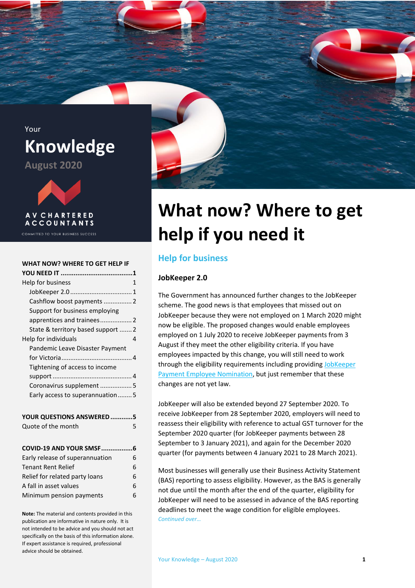



COMMITTED TO YOUR BUSINESS SUCCESS

#### **[WHAT NOW? WHERE TO GET HELP IF](#page-0-0)**

| Help for business                  | 1 |
|------------------------------------|---|
|                                    |   |
|                                    |   |
| Support for business employing     |   |
|                                    |   |
| State & territory based support  2 |   |
| Help for individuals               | 4 |
| Pandemic Leave Disaster Payment    |   |
|                                    |   |
| Tightening of access to income     |   |
|                                    |   |
| Coronavirus supplement  5          |   |
| Early access to superannuation5    |   |
|                                    |   |
| YOUR QUESTIONS ANSWERED 5          |   |

| Quote of the month              | 5 |
|---------------------------------|---|
| COVID-19 AND YOUR SMSF6         |   |
| Early release of superannuation | 6 |
| <b>Tenant Rent Relief</b>       | 6 |
| Relief for related party loans  | 6 |
| A fall in asset values          | 6 |
| Minimum pension payments        | հ |

**Note:** The material and contents provided in this publication are informative in nature only. It is not intended to be advice and you should not act specifically on the basis of this information alone. If expert assistance is required, professional advice should be obtained.



# <span id="page-0-0"></span>**What now? Where to get help if you need it**

# <span id="page-0-1"></span>**Help for business**

#### <span id="page-0-2"></span>**JobKeeper 2.0**

The Government has announced further changes to the JobKeeper scheme. The good news is that employees that missed out on JobKeeper because they were not employed on 1 March 2020 might now be eligible. The proposed changes would enable employees employed on 1 July 2020 to receive JobKeeper payments from 3 August if they meet the other eligibility criteria. If you have employees impacted by this change, you will still need to work through the eligibility requirements including providing [JobKeeper](https://www.ato.gov.au/Forms/JobKeeper-payment---employee-nomination-notice/)  [Payment Employee Nomination,](https://www.ato.gov.au/Forms/JobKeeper-payment---employee-nomination-notice/) but just remember that these changes are not yet law.

JobKeeper will also be extended beyond 27 September 2020. To receive JobKeeper from 28 September 2020, employers will need to reassess their eligibility with reference to actual GST turnover for the September 2020 quarter (for JobKeeper payments between 28 September to 3 January 2021), and again for the December 2020 quarter (for payments between 4 January 2021 to 28 March 2021).

Most businesses will generally use their Business Activity Statement (BAS) reporting to assess eligibility. However, as the BAS is generally not due until the month after the end of the quarter, eligibility for JobKeeper will need to be assessed in advance of the BAS reporting deadlines to meet the wage condition for eligible employees. *Continued over…*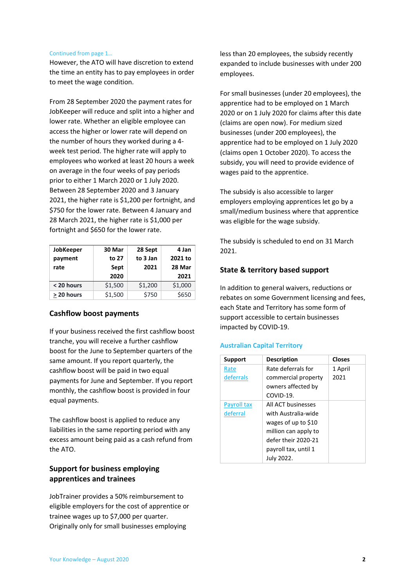#### Continued from page 1…

However, the ATO will have discretion to extend the time an entity has to pay employees in order to meet the wage condition.

From 28 September 2020 the payment rates for JobKeeper will reduce and split into a higher and lower rate. Whether an eligible employee can access the higher or lower rate will depend on the number of hours they worked during a 4 week test period. The higher rate will apply to employees who worked at least 20 hours a week on average in the four weeks of pay periods prior to either 1 March 2020 or 1 July 2020. Between 28 September 2020 and 3 January 2021, the higher rate is \$1,200 per fortnight, and \$750 for the lower rate. Between 4 January and 28 March 2021, the higher rate is \$1,000 per fortnight and \$650 for the lower rate.

| JobKeeper<br>payment | 30 Mar<br>to 27 | 28 Sept<br>to 3 Jan | 4 Jan<br>2021 to |
|----------------------|-----------------|---------------------|------------------|
| rate                 | Sept            | 2021                | 28 Mar           |
|                      | 2020            |                     | 2021             |
| < 20 hours           | \$1,500         | \$1,200             | \$1,000          |
| > 20 hours           | \$1,500         | \$750               | \$650            |

## <span id="page-1-0"></span>**Cashflow boost payments**

If your business received the first cashflow boost tranche, you will receive a further cashflow boost for the June to September quarters of the same amount. If you report quarterly, the cashflow boost will be paid in two equal payments for June and September. If you report monthly, the cashflow boost is provided in four equal payments.

The cashflow boost is applied to reduce any liabilities in the same reporting period with any excess amount being paid as a cash refund from the ATO.

# <span id="page-1-1"></span>**Support for business employing apprentices and trainees**

JobTrainer provides a 50% reimbursement to eligible employers for the cost of apprentice or trainee wages up to \$7,000 per quarter. Originally only for small businesses employing

less than 20 employees, the subsidy recently expanded to include businesses with under 200 employees.

For small businesses (under 20 employees), the apprentice had to be employed on 1 March 2020 or on 1 July 2020 for claims after this date (claims are open now). For medium sized businesses (under 200 employees), the apprentice had to be employed on 1 July 2020 (claims open 1 October 2020). To access the subsidy, you will need to provide evidence of wages paid to the apprentice.

The subsidy is also accessible to larger employers employing apprentices let go by a small/medium business where that apprentice was eligible for the wage subsidy.

The subsidy is scheduled to end on 31 March 2021.

## <span id="page-1-2"></span>**State & territory based support**

In addition to general waivers, reductions or rebates on some Government licensing and fees, each State and Territory has some form of support accessible to certain businesses impacted by COVID-19.

#### **Australian Capital Territory**

| <b>Support</b> | <b>Description</b>   | <b>Closes</b> |
|----------------|----------------------|---------------|
| Rate           | Rate deferrals for   | 1 April       |
| deferrals      | commercial property  | 2021          |
|                | owners affected by   |               |
|                | COVID-19.            |               |
| Payroll tax    | All ACT businesses   |               |
| deferral       | with Australia-wide  |               |
|                | wages of up to \$10  |               |
|                | million can apply to |               |
|                | defer their 2020-21  |               |
|                | payroll tax, until 1 |               |
|                | July 2022.           |               |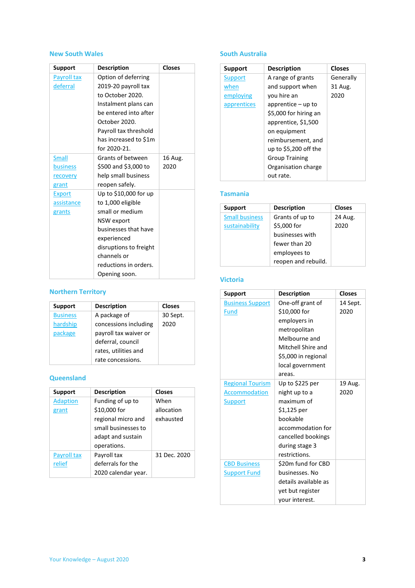### **New South Wales**

| <b>Support</b> | <b>Description</b>     | <b>Closes</b> |
|----------------|------------------------|---------------|
| Payroll tax    | Option of deferring    |               |
| deferral       | 2019-20 payroll tax    |               |
|                | to October 2020.       |               |
|                | Instalment plans can   |               |
|                | be entered into after  |               |
|                | October 2020.          |               |
|                | Payroll tax threshold  |               |
|                | has increased to \$1m  |               |
|                | for 2020-21.           |               |
| <b>Small</b>   | Grants of between      | 16 Aug.       |
| business       | \$500 and \$3,000 to   | 2020          |
| recovery       | help small business    |               |
| grant          | reopen safely.         |               |
| <b>Export</b>  | Up to \$10,000 for up  |               |
| assistance     | to 1,000 eligible      |               |
| grants         | small or medium        |               |
|                | <b>NSW</b> export      |               |
|                | businesses that have   |               |
|                | experienced            |               |
|                | disruptions to freight |               |
|                | channels or            |               |
|                | reductions in orders.  |               |
|                | Opening soon.          |               |

# **Northern Territory**

| <b>Support</b>  | <b>Description</b>    | <b>Closes</b> |
|-----------------|-----------------------|---------------|
| <b>Business</b> | A package of          | 30 Sept.      |
| hardship        | concessions including | 2020          |
| package         | payroll tax waiver or |               |
|                 | deferral, council     |               |
|                 | rates, utilities and  |               |
|                 | rate concessions.     |               |

## **Queensland**

| <b>Support</b>  | <b>Description</b>  | <b>Closes</b> |
|-----------------|---------------------|---------------|
| <b>Adaption</b> | Funding of up to    | When          |
| grant           | \$10,000 for        | allocation    |
|                 | regional micro and  | exhausted     |
|                 | small businesses to |               |
|                 | adapt and sustain   |               |
|                 | operations.         |               |
| Payroll tax     | Payroll tax         | 31 Dec. 2020  |
| relief          | deferrals for the   |               |
|                 | 2020 calendar year. |               |

## **South Australia**

| Support     | <b>Description</b>     | <b>Closes</b> |
|-------------|------------------------|---------------|
| Support     | A range of grants      | Generally     |
| when        | and support when       | 31 Aug.       |
| employing   | you hire an            | 2020          |
| apprentices | apprentice $-$ up to   |               |
|             | \$5,000 for hiring an  |               |
|             | apprentice, \$1,500    |               |
|             | on equipment           |               |
|             | reimbursement, and     |               |
|             | up to $$5,200$ off the |               |
|             | <b>Group Training</b>  |               |
|             | Organisation charge    |               |
|             | out rate.              |               |

#### **Tasmania**

| <b>Support</b>        | <b>Description</b>  | <b>Closes</b> |
|-----------------------|---------------------|---------------|
| <b>Small business</b> | Grants of up to     | 24 Aug.       |
| sustainability        | \$5,000 for         | 2020          |
|                       | businesses with     |               |
|                       | fewer than 20       |               |
|                       | employees to        |               |
|                       | reopen and rebuild. |               |

## **Victoria**

| <b>Support</b>          | <b>Description</b>   | <b>Closes</b> |
|-------------------------|----------------------|---------------|
| <b>Business Support</b> | One-off grant of     | 14 Sept.      |
| <b>Fund</b>             | \$10,000 for         | 2020          |
|                         | employers in         |               |
|                         | metropolitan         |               |
|                         | Melbourne and        |               |
|                         | Mitchell Shire and   |               |
|                         | \$5,000 in regional  |               |
|                         | local government     |               |
|                         | areas.               |               |
| <b>Regional Tourism</b> | Up to \$225 per      | 19 Aug.       |
| <b>Accommodation</b>    | night up to a        | 2020          |
| <b>Support</b>          | maximum of           |               |
|                         | \$1,125 per          |               |
|                         | bookable             |               |
|                         | accommodation for    |               |
|                         | cancelled bookings   |               |
|                         | during stage 3       |               |
|                         | restrictions.        |               |
| <b>CBD Business</b>     | \$20m fund for CBD   |               |
| <b>Support Fund</b>     | businesses. No       |               |
|                         | details available as |               |
|                         | yet but register     |               |
|                         | your interest.       |               |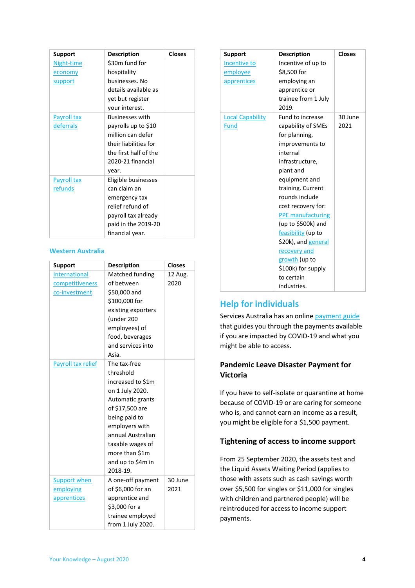| <b>Support</b>     | <b>Description</b>     | <b>Closes</b> |
|--------------------|------------------------|---------------|
| Night-time         | \$30m fund for         |               |
| economy            | hospitality            |               |
| <b>support</b>     | businesses. No         |               |
|                    | details available as   |               |
|                    | yet but register       |               |
|                    | your interest.         |               |
| <b>Payroll tax</b> | <b>Businesses with</b> |               |
| deferrals          | payrolls up to \$10    |               |
|                    | million can defer      |               |
|                    | their liabilities for  |               |
|                    | the first half of the  |               |
|                    | 2020-21 financial      |               |
|                    | year.                  |               |
| <b>Payroll tax</b> | Eligible businesses    |               |
| <u>refunds</u>     | can claim an           |               |
|                    | emergency tax          |               |
|                    | relief refund of       |               |
|                    | payroll tax already    |               |
|                    | paid in the 2019-20    |               |
|                    | financial year.        |               |

#### **Western Australia**

| <b>Support</b>       | <b>Description</b> | <b>Closes</b> |
|----------------------|--------------------|---------------|
| <b>International</b> | Matched funding    | 12 Aug.       |
| competitiveness      | of between         | 2020          |
| co-investment        | \$50,000 and       |               |
|                      | \$100,000 for      |               |
|                      | existing exporters |               |
|                      | (under 200         |               |
|                      | employees) of      |               |
|                      | food, beverages    |               |
|                      | and services into  |               |
|                      | Asia.              |               |
| Payroll tax relief   | The tax-free       |               |
|                      | threshold          |               |
|                      | increased to \$1m  |               |
|                      | on 1 July 2020.    |               |
|                      | Automatic grants   |               |
|                      | of \$17,500 are    |               |
|                      | being paid to      |               |
|                      | employers with     |               |
|                      | annual Australian  |               |
|                      | taxable wages of   |               |
|                      | more than \$1m     |               |
|                      | and up to \$4m in  |               |
|                      | 2018-19.           |               |
| <b>Support when</b>  | A one-off payment  | 30 June       |
| employing            | of \$6,000 for an  | 2021          |
| apprentices          | apprentice and     |               |
|                      | \$3,000 for a      |               |
|                      | trainee employed   |               |
|                      | from 1 July 2020.  |               |

| <b>Support</b>          | <b>Description</b>       | <b>Closes</b> |
|-------------------------|--------------------------|---------------|
| Incentive to            | Incentive of up to       |               |
| employee                | \$8,500 for              |               |
| apprentices             | employing an             |               |
|                         | apprentice or            |               |
|                         | trainee from 1 July      |               |
|                         | 2019.                    |               |
| <b>Local Capability</b> | Fund to increase         | 30 June       |
| <b>Fund</b>             | capability of SMEs       | 2021          |
|                         | for planning,            |               |
|                         | improvements to          |               |
|                         | internal                 |               |
|                         | infrastructure,          |               |
|                         | plant and                |               |
|                         | equipment and            |               |
|                         | training. Current        |               |
|                         | rounds include           |               |
|                         | cost recovery for:       |               |
|                         | <b>PPE manufacturing</b> |               |
|                         | (up to \$500k) and       |               |
|                         | feasibility (up to       |               |
|                         | \$20k), and general      |               |
|                         | recovery and             |               |
|                         | growth (up to            |               |
|                         | \$100k) for supply       |               |
|                         | to certain               |               |
|                         | industries.              |               |

# <span id="page-3-0"></span>**Help for individuals**

Services Australia has an onlin[e payment guide](https://www.servicesaustralia.gov.au/individuals/subjects/payments-and-services-during-coronavirus-covid-19/if-you-need-payment#guide) that guides you through the payments available if you are impacted by COVID-19 and what you might be able to access.

# <span id="page-3-1"></span>**Pandemic Leave Disaster Payment for Victoria**

If you have to self-isolate or quarantine at home because of COVID-19 or are caring for someone who is, and cannot earn an income as a result, you might be eligible for a \$1,500 payment.

## <span id="page-3-2"></span>**Tightening of access to income support**

From 25 September 2020, the assets test and the Liquid Assets Waiting Period (applies to those with assets such as cash savings worth over \$5,500 for singles or \$11,000 for singles with children and partnered people) will be reintroduced for access to income support payments.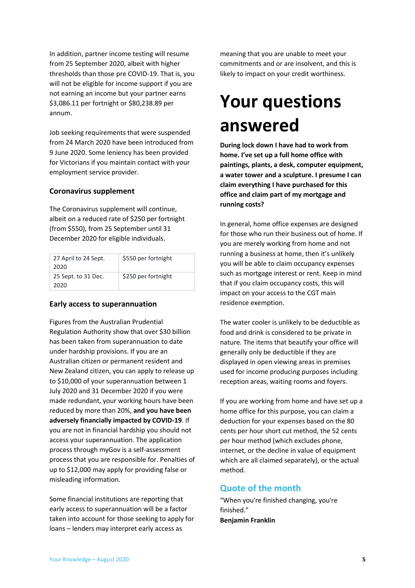In addition, partner income testing will resume from 25 September 2020, albeit with higher thresholds than those pre COVID-19. That is, you will not be eligible for income support if you are not earning an income but your partner earns \$3,086.11 per fortnight or \$80,238.89 per annum.

Job seeking requirements that were suspended from 24 March 2020 have been introduced from 9 June 2020. Some leniency has been provided for Victorians if you maintain contact with your employment service provider.

#### <span id="page-4-0"></span>**Coronavirus supplement**

The Coronavirus supplement will continue, albeit on a reduced rate of \$250 per fortnight (from \$550), from 25 September until 31 December 2020 for eligible individuals.

| 27 April to 24 Sept.<br>2020 | \$550 per fortnight |
|------------------------------|---------------------|
| 25 Sept. to 31 Dec.<br>2020  | \$250 per fortnight |

### <span id="page-4-1"></span>**Early access to superannuation**

Figures from the Australian Prudential Regulation Authority show that over \$30 billion has been taken from superannuation to date under hardship provisions. If you are an Australian citizen or permanent resident and New Zealand citizen, you can apply to release up to \$10,000 of your superannuation between 1 July 2020 and 31 December 2020 if you were made redundant, your working hours have been reduced by more than 20%, **and you have been adversely financially impacted by COVID-19**. If you are not in financial hardship you should not access your superannuation. The application process through myGov is a self-assessment process that you are responsible for. Penalties of up to \$12,000 may apply for providing false or misleading information.

Some financial institutions are reporting that early access to superannuation will be a factor taken into account for those seeking to apply for loans – lenders may interpret early access as

meaning that you are unable to meet your commitments and or are insolvent, and this is likely to impact on your credit worthiness.

# <span id="page-4-2"></span>**Your questions answered**

**During lock down I have had to work from home. I've set up a full home office with paintings, plants, a desk, computer equipment, a water tower and a sculpture. I presume I can claim everything I have purchased for this office and claim part of my mortgage and running costs?**

In general, home office expenses are designed for those who run their business out of home. If you are merely working from home and not running a business at home, then it's unlikely you will be able to claim occupancy expenses such as mortgage interest or rent. Keep in mind that if you claim occupancy costs, this will impact on your access to the CGT main residence exemption.

The water cooler is unlikely to be deductible as food and drink is considered to be private in nature. The items that beautify your office will generally only be deductible if they are displayed in open viewing areas in premises used for income producing purposes including reception areas, waiting rooms and foyers.

If you are working from home and have set up a home office for this purpose, you can claim a deduction for your expenses based on the 80 cents per hour short cut method, the 52 cents per hour method (which excludes phone, internet, or the decline in value of equipment which are all claimed separately), or the actual method.

## <span id="page-4-3"></span>**Quote of the month**

"When you're finished changing, you're finished." **Benjamin Franklin**